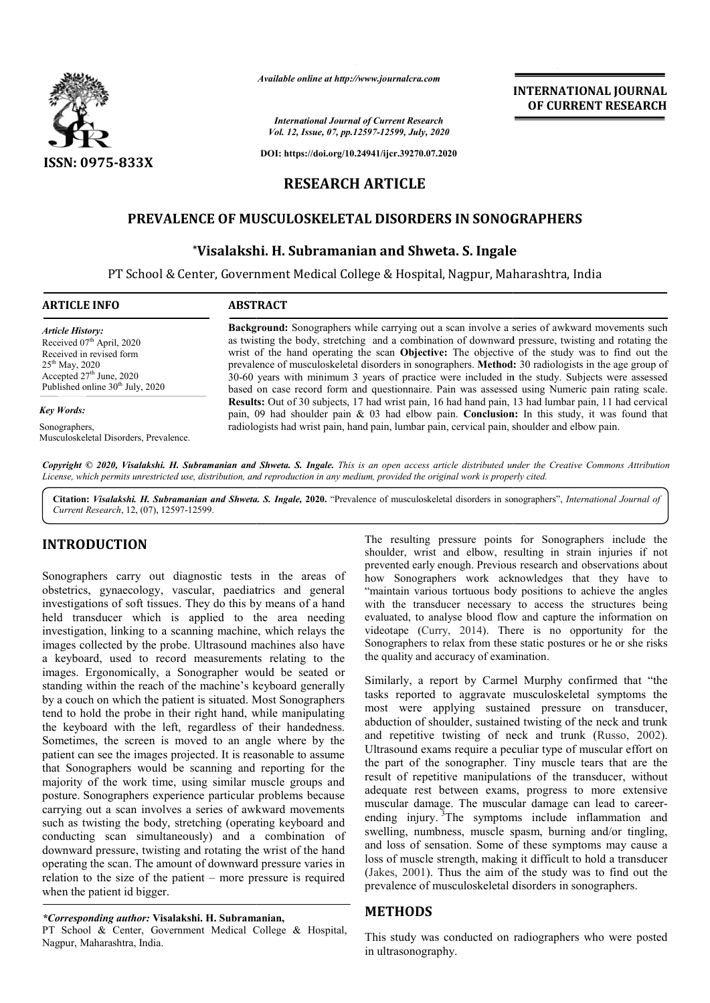

*Available online at http://www.journalcra.com*

*International Journal of Current Research Vol. 12, Issue, 07, pp.12597-12599, July, 2020*

**DOI: https://doi.org/10.24941/ijcr.39270.07.2020**

# **RESEARCH ARTICLE**

# **PREVALENCE OF MUSCULOSKELETAL DISORDERS IN SONOGRAPHERS \CE OF MUSCULOSKELETAL DISORDERS IN SONOG<br>\*Visalakshi. H. Subramanian and Shweta. S. Ingale**

PT School & Center, Government Medical College & Hospital, Nagpur, Maharashtra, India PT

### **ARTICLE INFO ABSTRACT**

*Article History:* Received 07<sup>th</sup> April, 2020 Received in revised form 25th May, 2020 Accepted  $27<sup>th</sup>$  June, 2020 Published online 30<sup>th</sup> July, 2020

#### *Key Words:*

Sonographers,

Musculoskeletal Disorders, Prevalence.

**Background:**  Sonographers while carrying out a scan involve a series of awkward movements such as twisting the body, stretching and a combination of downward pressure, twisting and rotating the Background: Sonographers while carrying out a scan involve a series of awkward movements such as twisting the body, stretching and a combination of downward pressure, twisting and rotating the wrist of the hand operating t prevalence of musculoskeletal disorders in sonographers. **Method: Method:** 30 radiologists in the age group of 30-60 years with minimum 3 years of practice were included in the study. Subjects were assessed based on case record form and questionnaire. Pain was assessed using Numeric pain rating scale. **Results:** Out of 30 subjects, 17 had wrist pain, 16 had hand pain, 13 had lumbar pain, 11 had cervical pain, 09 had shoulder pain & 03 had elbow pain. **Conclusion:** In this study, it was found that radiologists had wrist pain, hand pain, lumbar pain, cervical pain, shoulder and elbow pain. 30-60 years with minimum 3 years of practice were included in the study. Subjects were assessed based on case record form and questionnaire. Pain was assessed using Numeric pain rating scale. Results: Out of 30 subjects, 1

Copyright © 2020, Visalakshi. H. Subramanian and Shweta. S. Ingale. This is an open access article distributed under the Creative Commons Attribution License, which permits unrestricted use, distribution, and reproduction in any medium, provided the original work is properly cited.

Citation: Visalakshi. H. Subramanian and Shweta. S. Ingale, 2020. "Prevalence of musculoskeletal disorders in sonographers", *International Journal of Current Research*, 12, (07), 12597-12599.

# **INTRODUCTION**

Sonographers carry out diagnostic tests in the areas of obstetrics, gynaecology, vascular, paediatrics and general investigations of soft tissues. They do this by means of a hand held transducer which is applied to the area needing investigation, linking to a scanning machine, which relays the images collected by the probe. Ultrasound machines also have a keyboard, used to record measurements relating to the images. Ergonomically, a Sonographer would be s seated or standing within the reach of the machine's keyboard generally by a couch on which the patient is situated. Most Sonographers tend to hold the probe in their right hand, while manipulating the keyboard with the left, regardless of their handedness. Sometimes, the screen is moved to an angle where by the patient can see the images projected. It is reasonable to assume that Sonographers would be scanning and reporting for the majority of the work time, using similar muscle groups and posture. Sonographers experience particular problems because carrying out a scan involves a series of awkward movements such as twisting the body, stretching (operating keyboard and conducting scan simultaneously) and a combination of downward pressure, twisting and rotating the wrist of the hand operating the scan. The amount of downward pressure varies in relation to the size of the patient – more pressure is required when the patient id bigger. 1000 The resulting pressure points for the section of the resulting present points of the sector of the areas of the sector of the areas of the sector of the areas of the sector of the areas of the resulting present which

### *\*Corresponding author:* **Visalakshi. H. Subramanian,**

PT School & Center, Government Medical College & Hospital, Nagpur, Maharashtra, India.

shoulder, wrist and elbow, resulting in strain injuries if not prevented early enough. Previous research and observations about how Sonographers work acknowledges that they have to "maintain various tortuous body positions to achieve the angles with the transducer necessary to access the structures being evaluated, to analyse blood flow and capture the information on videotape (Curry, 2014). There is no opportunity for the Sonographers to relax from these static postures or he or she risks the quality and accuracy of examination. The resulting pressure points for Sonographers include the shoulder, wrist and elbow, resulting in strain injuries if not<br>prevented early enough. Previous research and observations about<br>how Sonographers work acknowledges that they have to<br>"maintain various tortuous body positions

**INTERNATIONAL JOURNAL OF CURRENT RESEARCH**

Similarly, a report by Carmel Murphy confirmed that "the tasks reported to aggravate musculoskeletal symptoms the most were applying sustained pressure on transducer, abduction of shoulder, sustained twisting of the neck and trunk and repetitive twisting of neck and trunk (Russo, 2002). Ultrasound exams require a peculiar type of muscular effort on the part of the sonographer. Tiny muscle tears that are the result of repetitive manipulations of the transducer, without Ultrasound exams require a peculiar type of muscular effort on the part of the sonographer. Tiny muscle tears that are the result of repetitive manipulations of the transducer, without adequate rest between exams, progress muscular damage. The muscular damage can lead to careerending injury. <sup>3</sup>The symptoms include inflammation and swelling, numbness, muscle spasm, burning and/or tingling, and loss of sensation. Some of these symptoms may cause a loss of muscle strength, making it difficult to hold a transducer (Jakes, 2001). Thus the aim of the study was to find out the prevalence of musculoskeletal disorders in sonographers. ry. The symptoms include inflammation and<br>umbness, muscle spasm, burning and/or tingling,<br>sensation. Some of these symptoms may cause a<br>le strength, making it difficult to hold a transducer<br>). Thus the aim of the study was INTERNATIONAL JOURNAL<br>
1978 (*Research*<br>
2087 (*Research*<br>
2097, *Aday, 2098*<br>
2097, *Aday, 2098*<br>
2097, *Aday, 2098*<br>
2097, *Aday, 2098*<br>
207, *Aday, 2098*<br>
207, *Aday, 2098*<br>
207, *Aday, 2098*<br>
208 (*LGLE*<br>
208 (*RDERS I* 

# **METHODS**

This study was conducted on radiographers who were posted in ultrasonography.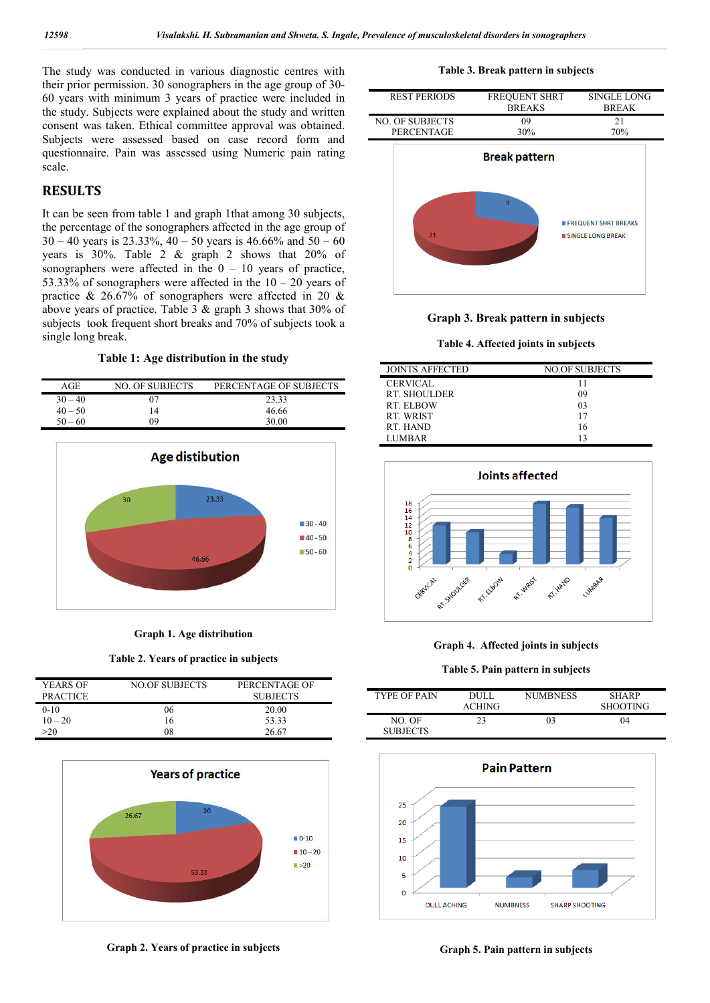The study was conducted in various diagnostic centres with their prior permission. 30 sonographers in the age group of 30- 60 years with minimum 3 years of practice were included in the study. Subjects were explained about the study and written consent was taken. Ethical committee approval was obtained. Subjects were assessed based on case record form and questionnaire. Pain was assessed using Numeric pain rating scale.

# **RESULTS**

It can be seen from table 1 and graph 1that among 30 subjects, the percentage of the sonographers affected in the age group of  $30 - 40$  years is  $23.33\%$ ,  $40 - 50$  years is  $46.66\%$  and  $50 - 60$ years is 30%. Table 2 & graph 2 shows that 20% of sonographers were affected in the  $0 - 10$  years of practice, 53.33% of sonographers were affected in the  $10 - 20$  years of practice & 26.67% of sonographers were affected in 20 & above years of practice. Table  $3 \&$  graph  $3$  shows that  $30\%$  of subjects took frequent short breaks and 70% of subjects took a single long break.

**Table 1: Age distribution in the study**

| AGE.      | NO. OF SUBJECTS | PERCENTAGE OF SUBJECTS |
|-----------|-----------------|------------------------|
| $30 - 40$ | 07              | 23.33                  |
| $40 - 50$ | 14              | 46.66                  |
| $50 - 60$ | ገዓ              | 30.00                  |



**Graph 1. Age distribution**

**Table 2. Years of practice in subjects**

| YEARS OF<br><b>PRACTICE</b> | <b>NO.OF SUBJECTS</b> | PERCENTAGE OF<br><b>SUBJECTS</b> |
|-----------------------------|-----------------------|----------------------------------|
| $0 - 10$                    | 06                    | 20.00                            |
| $10 - 20$                   | 16                    | 53.33                            |
| >20                         |                       | 26.67                            |



**Graph 2. Years of practice in subjects**

**Table 3. Break pattern in subjects**





**Table 4. Affected joints in subjects**

| <b>JOINTS AFFECTED</b> | NO.OF SUBJECTS |
|------------------------|----------------|
| <b>CERVICAL</b>        |                |
| RT. SHOULDER           | 09             |
| RT ELBOW               | 03             |
| RT. WRIST              | 17             |
| RT. HAND               | 16             |
| LUMBAR                 |                |
|                        |                |



**Graph 4. Affected joints in subjects**

**Table 5. Pain pattern in subjects**

| <b>TYPE OF PAIN</b>       | DUL I<br><b>ACHING</b> | <b>NUMBNESS</b> | <b>SHARP</b><br><b>SHOOTING</b> |
|---------------------------|------------------------|-----------------|---------------------------------|
| NO. OF<br><b>SURIECTS</b> | 23                     | 03              | 04                              |